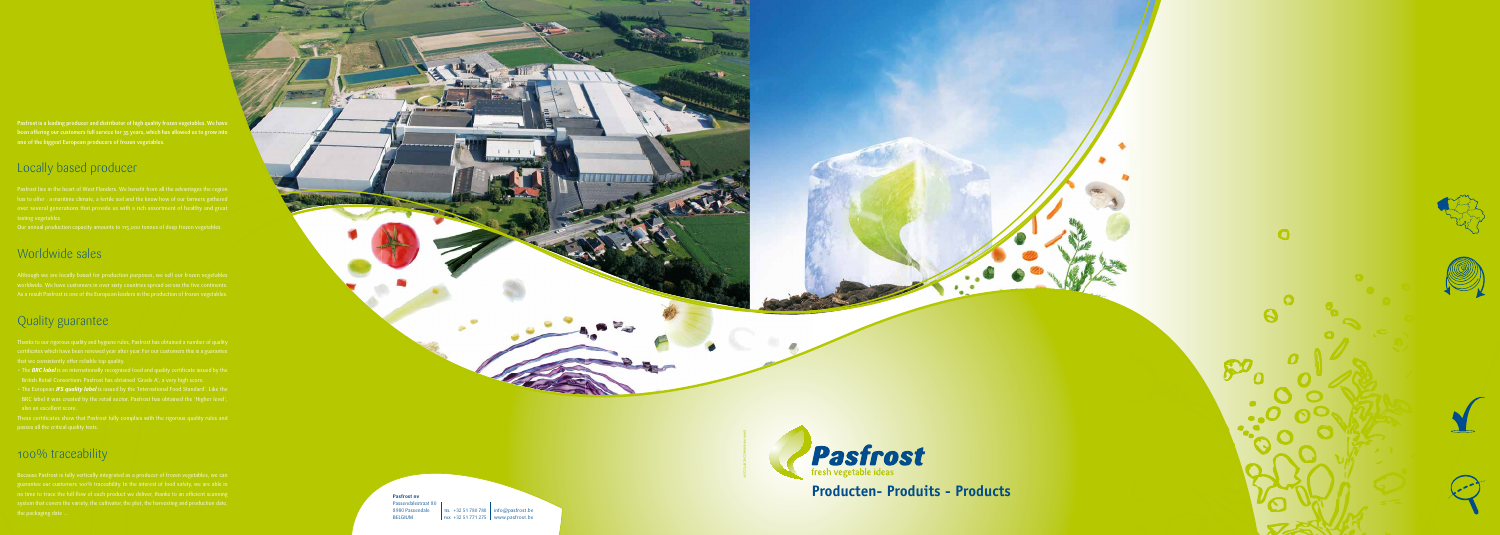TEL +32 51 780 780 | info@pasfrost.be fax +32 51 771 275 www.pasfrost.be

**Pasfrost nv** Passendalestraat 80 8980 Passendale BELGIUM

Pasfrost is a leading producer and distributor of high quality frozen vegetables. We have been offering our customers full service for 35 years, which has allowed us to grow into one of the biggest European producers of frozen vegetables.

Pasfrost lies in the heart of West Flanders. We benefit from all the advantages the region tasting vegetables.

# Locally based producer

Our annual production capacity amounts to 115,000 tonnes of deep frozen vegetables.

- The **BRC label** is an internationally recognised food and quality certificate issued by the
- The European *IFS quality label* is issued by the 'International Food Standard'. Like the

## Worldwide sales

Although we are locally based for production purposes, we sell our frozen vegetables As a result Pasfrost is one of the European leaders in the production of frozen vegetables.

# Quality guarantee

Thanks to our rigorous quality and hygiene rules, Pasfrost has obtained a number of quality

## 100% traceability

Because Pasfrost is fully vertically integrated as a producer of frozen vegetables, we can system that covers the variety, the cultivator, the plot, the harvesting and production date, the packaging date ...



![](_page_0_Picture_17.jpeg)